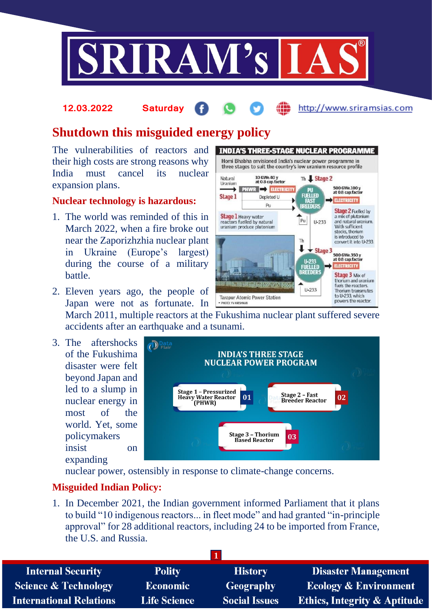

#### http://www.sriramsias.com **12.03.2022 Saturday**

Natural

Uranium

**Stage 1** 

→

**Stage 1** Heavy water<br>reactors fuelled by natural

uranium produce plutonium

**Tarapur Atomic Power Station** 

**INDIA'S THREE-STAGE NUCLEAR PROGRAMME** Homi Bhabha envisioned India's nuclear power programme in three stages to suit the country's low uranium resource profile

Th J. Stage 2

 $U - 233$ 

 $\blacktriangleright$  Stage 3

**PU**<br>FUELLED

**FAST** 

**RREEDED** 

 $F_{\text{pu}}$ 

Th

↓

U-233<br>FUELLED

**BREEDER** 

 $U - 233$ 

500 GWe.100 y<br>at 0.8 cap.factor

**ELECTRICITY** 

**Stage 2 Fuelled by** 

a mix of plutonium

stocks, thorium is introduced to

500 GWe.350 y<br>at 0.8 cap.factor

**ELECTRICITY** 

Stage 3 Mix of thorium and uranium fuels the reactors.

Thorium transmutes<br>to U-233, which

powers the reactor.

and natural uranium.<br>With sufficient

convert it into U-233.

10 GWe.40 y<br>at 0.8 cap.factor

Depleted U

Pu

PHWR EXECTRICITY

# **Shutdown this misguided energy policy**

The vulnerabilities of reactors and their high costs are strong reasons why India must cancel its nuclear expansion plans.

#### **Nuclear technology is hazardous:**

- 1. The world was reminded of this in March 2022, when a fire broke out near the Zaporizhzhia nuclear plant in Ukraine (Europe's largest) during the course of a military battle.
- 2. Eleven years ago, the people of Japan were not as fortunate. In

March 2011, multiple reactors at the Fukushima nuclear plant suffered severe accidents after an earthquake and a tsunami.

- PHOTO: VV KRISHNAN

3. The aftershocks of the Fukushima disaster were felt beyond Japan and led to a slump in nuclear energy in most of the world. Yet, some policymakers insist on expanding



nuclear power, ostensibly in response to climate-change concerns.

### **Misguided Indian Policy:**

1. In December 2021, the Indian government informed Parliament that it plans to build "10 indigenous reactors... in fleet mode" and had granted "in-principle approval" for 28 additional reactors, including 24 to be imported from France, the U.S. and Russia.

| <b>Internal Security</b>        | <b>Polity</b>       | <b>History</b>       | <b>Disaster Management</b>              |
|---------------------------------|---------------------|----------------------|-----------------------------------------|
| <b>Science &amp; Technology</b> | <b>Economic</b>     | <b>Geography</b>     | <b>Ecology &amp; Environment</b>        |
| <b>International Relations</b>  | <b>Life Science</b> | <b>Social Issues</b> | <b>Ethics, Integrity &amp; Aptitude</b> |
|                                 |                     |                      |                                         |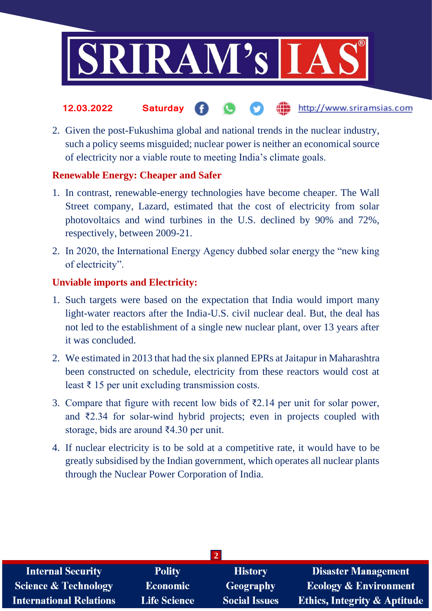

- the http://www.sriramsias.com **12.03.2022 Saturday**
- 2. Given the post-Fukushima global and national trends in the nuclear industry, such a policy seems misguided; nuclear power is neither an economical source of electricity nor a viable route to meeting India's climate goals.

## **Renewable Energy: Cheaper and Safer**

- 1. In contrast, renewable-energy technologies have become cheaper. The Wall Street company, Lazard, estimated that the cost of electricity from solar photovoltaics and wind turbines in the U.S. declined by 90% and 72%, respectively, between 2009-21.
- 2. In 2020, the International Energy Agency dubbed solar energy the "new king of electricity".

# **Unviable imports and Electricity:**

- 1. Such targets were based on the expectation that India would import many light-water reactors after the India-U.S. civil nuclear deal. But, the deal has not led to the establishment of a single new nuclear plant, over 13 years after it was concluded.
- 2. We estimated in 2013 that had the six planned EPRs at Jaitapur in Maharashtra been constructed on schedule, electricity from these reactors would cost at least ₹ 15 per unit excluding transmission costs.
- 3. Compare that figure with recent low bids of ₹2.14 per unit for solar power, and ₹2.34 for solar-wind hybrid projects; even in projects coupled with storage, bids are around ₹4.30 per unit.
- 4. If nuclear electricity is to be sold at a competitive rate, it would have to be greatly subsidised by the Indian government, which operates all nuclear plants through the Nuclear Power Corporation of India.

| <b>Internal Security</b>        | <b>Polity</b>       | <b>History</b>       | Disaster Management                     |
|---------------------------------|---------------------|----------------------|-----------------------------------------|
| <b>Science &amp; Technology</b> | <b>Economic</b>     | Geography            | <b>Ecology &amp; Environment</b>        |
| <b>International Relations</b>  | <b>Life Science</b> | <b>Social Issues</b> | <b>Ethics, Integrity &amp; Aptitude</b> |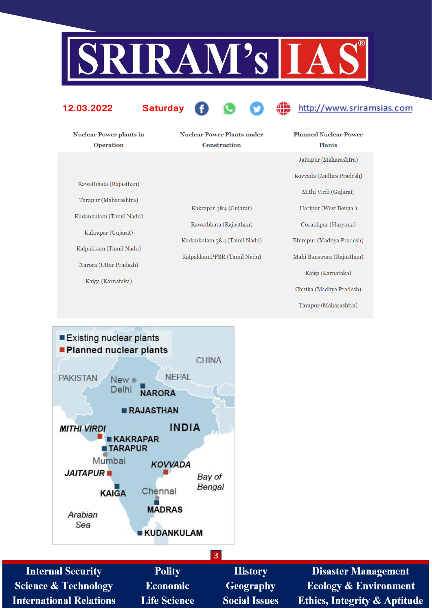

#### 12.03.2022

**Saturday** 



# http://www.sriramsias.com

**Nuclear Power plants in Operation** 

**Nuclear Power Plants under** Construction

Rawatbhata (Rajasthan)

Tarapur (Maharashtra) Kudankulam (Tamil Nadu)

Kakrapar (Gujarat)

Kalpakkam (Tamil Nadu)

Narora (Uttar Pradesh)

Kaiga (Karnataka)

Kakrapar 3&4 (Gujarat) Rawatbhata (Rajasthan) Kudankulam 3&4 (Tamil Nadu) KalpakkamPFBR (Tamil Nadu)

**Planned Nuclear Power Plants** Jaitapur (Maharashtra) Kovvada (Andhra Pradesh) Mithi Virdi (Gujarat) Haripur (West Bengal) Gorakhpur (Haryana) Bhimpur (Madhya Pradesh) Mahi Banswara (Rajasthan) Kaiga (Karnataka) Chutka (Madhya Pradesh) Tarapur (Maharashtra)



| <b>Internal Security</b>        | <b>Polity</b>       | <b>History</b>       | <b>Disaster Management</b>              |
|---------------------------------|---------------------|----------------------|-----------------------------------------|
| <b>Science &amp; Technology</b> | <b>Economic</b>     | Geography            | <b>Ecology &amp; Environment</b>        |
| <b>International Relations</b>  | <b>Life Science</b> | <b>Social Issues</b> | <b>Ethics, Integrity &amp; Aptitude</b> |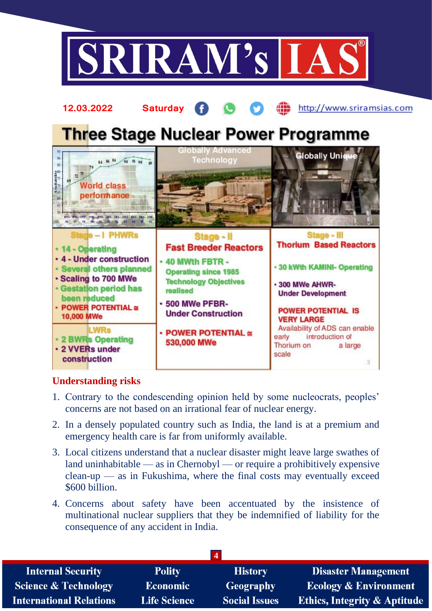



### **Understanding risks**

- 1. Contrary to the condescending opinion held by some nucleocrats, peoples' concerns are not based on an irrational fear of nuclear energy.
- 2. In a densely populated country such as India, the land is at a premium and emergency health care is far from uniformly available.
- 3. Local citizens understand that a nuclear disaster might leave large swathes of land uninhabitable — as in Chernobyl — or require a prohibitively expensive clean-up — as in Fukushima, where the final costs may eventually exceed \$600 billion.
- 4. Concerns about safety have been accentuated by the insistence of multinational nuclear suppliers that they be indemnified of liability for the consequence of any accident in India.

| <b>Internal Security</b>        | <b>Polity</b>       | <b>History</b>       | <b>Disaster Management</b>              |
|---------------------------------|---------------------|----------------------|-----------------------------------------|
| <b>Science &amp; Technology</b> | <b>Economic</b>     | <b>Geography</b>     | <b>Ecology &amp; Environment</b>        |
| <b>International Relations</b>  | <b>Life Science</b> | <b>Social Issues</b> | <b>Ethics, Integrity &amp; Aptitude</b> |